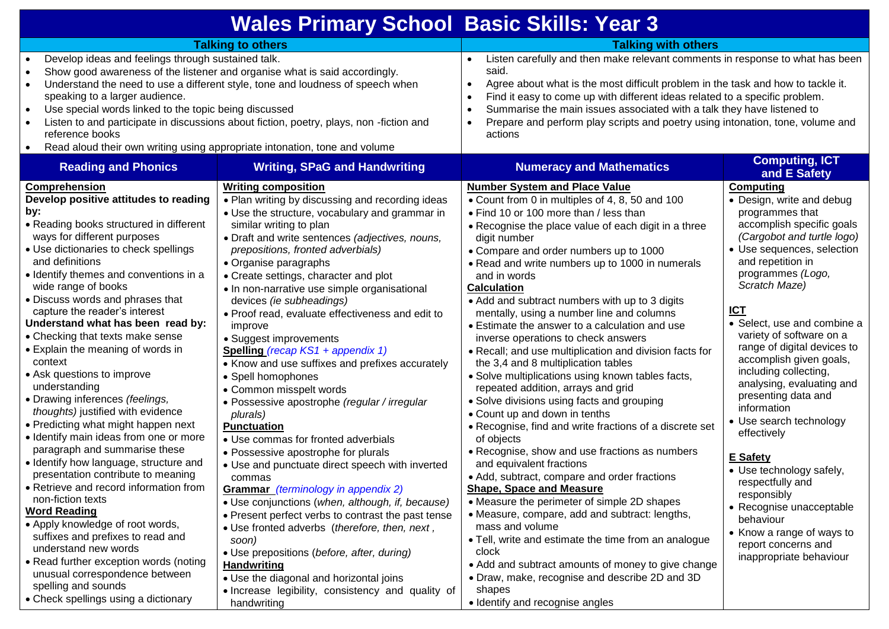| <b>Wales Primary School Basic Skills: Year 3</b>                                                                                                                                                                                                                                                                                                                                                                                                                                                                                                                                                                                                                                                                                                                                                                                                                                                                                                                                                                                                                                                                              |                                                                                                                                                                                                                                                                                                                                                                                                                                                                                                                                                                                                                                                                                                                                                                                                                                                                                                                                                                                                                                                                                                                                                                                                                                                                                |                                                                                                                                                                                                                                                                                                                                                                                                                                                                                                                                                                                                                                                                                                                                                                                                                                                                                                                                                                                                                                                                                                                                                                                                                                                                                                                                                                                                      |                                                                                                                                                                                                                                                                                                                                                                                                                                                                                                                                                                                                                                                                                                  |
|-------------------------------------------------------------------------------------------------------------------------------------------------------------------------------------------------------------------------------------------------------------------------------------------------------------------------------------------------------------------------------------------------------------------------------------------------------------------------------------------------------------------------------------------------------------------------------------------------------------------------------------------------------------------------------------------------------------------------------------------------------------------------------------------------------------------------------------------------------------------------------------------------------------------------------------------------------------------------------------------------------------------------------------------------------------------------------------------------------------------------------|--------------------------------------------------------------------------------------------------------------------------------------------------------------------------------------------------------------------------------------------------------------------------------------------------------------------------------------------------------------------------------------------------------------------------------------------------------------------------------------------------------------------------------------------------------------------------------------------------------------------------------------------------------------------------------------------------------------------------------------------------------------------------------------------------------------------------------------------------------------------------------------------------------------------------------------------------------------------------------------------------------------------------------------------------------------------------------------------------------------------------------------------------------------------------------------------------------------------------------------------------------------------------------|------------------------------------------------------------------------------------------------------------------------------------------------------------------------------------------------------------------------------------------------------------------------------------------------------------------------------------------------------------------------------------------------------------------------------------------------------------------------------------------------------------------------------------------------------------------------------------------------------------------------------------------------------------------------------------------------------------------------------------------------------------------------------------------------------------------------------------------------------------------------------------------------------------------------------------------------------------------------------------------------------------------------------------------------------------------------------------------------------------------------------------------------------------------------------------------------------------------------------------------------------------------------------------------------------------------------------------------------------------------------------------------------------|--------------------------------------------------------------------------------------------------------------------------------------------------------------------------------------------------------------------------------------------------------------------------------------------------------------------------------------------------------------------------------------------------------------------------------------------------------------------------------------------------------------------------------------------------------------------------------------------------------------------------------------------------------------------------------------------------|
| <b>Talking to others</b>                                                                                                                                                                                                                                                                                                                                                                                                                                                                                                                                                                                                                                                                                                                                                                                                                                                                                                                                                                                                                                                                                                      |                                                                                                                                                                                                                                                                                                                                                                                                                                                                                                                                                                                                                                                                                                                                                                                                                                                                                                                                                                                                                                                                                                                                                                                                                                                                                | <b>Talking with others</b>                                                                                                                                                                                                                                                                                                                                                                                                                                                                                                                                                                                                                                                                                                                                                                                                                                                                                                                                                                                                                                                                                                                                                                                                                                                                                                                                                                           |                                                                                                                                                                                                                                                                                                                                                                                                                                                                                                                                                                                                                                                                                                  |
| Develop ideas and feelings through sustained talk.<br>Show good awareness of the listener and organise what is said accordingly.<br>Understand the need to use a different style, tone and loudness of speech when<br>speaking to a larger audience.<br>Use special words linked to the topic being discussed<br>Listen to and participate in discussions about fiction, poetry, plays, non -fiction and<br>reference books<br>Read aloud their own writing using appropriate intonation, tone and volume                                                                                                                                                                                                                                                                                                                                                                                                                                                                                                                                                                                                                     |                                                                                                                                                                                                                                                                                                                                                                                                                                                                                                                                                                                                                                                                                                                                                                                                                                                                                                                                                                                                                                                                                                                                                                                                                                                                                | Listen carefully and then make relevant comments in response to what has been<br>said.<br>Agree about what is the most difficult problem in the task and how to tackle it.<br>$\bullet$<br>Find it easy to come up with different ideas related to a specific problem.<br>Summarise the main issues associated with a talk they have listened to<br>Prepare and perform play scripts and poetry using intonation, tone, volume and<br>actions                                                                                                                                                                                                                                                                                                                                                                                                                                                                                                                                                                                                                                                                                                                                                                                                                                                                                                                                                        |                                                                                                                                                                                                                                                                                                                                                                                                                                                                                                                                                                                                                                                                                                  |
| <b>Reading and Phonics</b>                                                                                                                                                                                                                                                                                                                                                                                                                                                                                                                                                                                                                                                                                                                                                                                                                                                                                                                                                                                                                                                                                                    | <b>Writing, SPaG and Handwriting</b>                                                                                                                                                                                                                                                                                                                                                                                                                                                                                                                                                                                                                                                                                                                                                                                                                                                                                                                                                                                                                                                                                                                                                                                                                                           | <b>Numeracy and Mathematics</b>                                                                                                                                                                                                                                                                                                                                                                                                                                                                                                                                                                                                                                                                                                                                                                                                                                                                                                                                                                                                                                                                                                                                                                                                                                                                                                                                                                      | <b>Computing, ICT</b><br>and E Safety                                                                                                                                                                                                                                                                                                                                                                                                                                                                                                                                                                                                                                                            |
| Comprehension<br>Develop positive attitudes to reading<br>by:<br>• Reading books structured in different<br>ways for different purposes<br>• Use dictionaries to check spellings<br>and definitions<br>• Identify themes and conventions in a<br>wide range of books<br>• Discuss words and phrases that<br>capture the reader's interest<br>Understand what has been read by:<br>• Checking that texts make sense<br>• Explain the meaning of words in<br>context<br>• Ask questions to improve<br>understanding<br>• Drawing inferences (feelings,<br>thoughts) justified with evidence<br>• Predicting what might happen next<br>· Identify main ideas from one or more<br>paragraph and summarise these<br>• Identify how language, structure and<br>presentation contribute to meaning<br>• Retrieve and record information from<br>non-fiction texts<br><u>Word Reading</u><br>• Apply knowledge of root words,<br>suffixes and prefixes to read and<br>understand new words<br>• Read further exception words (noting<br>unusual correspondence between<br>spelling and sounds<br>• Check spellings using a dictionary | <b>Writing composition</b><br>. Plan writing by discussing and recording ideas<br>• Use the structure, vocabulary and grammar in<br>similar writing to plan<br>· Draft and write sentences (adjectives, nouns,<br>prepositions, fronted adverbials)<br>• Organise paragraphs<br>• Create settings, character and plot<br>• In non-narrative use simple organisational<br>devices (ie subheadings)<br>• Proof read, evaluate effectiveness and edit to<br>improve<br>• Suggest improvements<br><b>Spelling</b> (recap $KS1$ + appendix 1)<br>• Know and use suffixes and prefixes accurately<br>• Spell homophones<br>• Common misspelt words<br>· Possessive apostrophe (regular / irregular<br>plurals)<br><b>Punctuation</b><br>• Use commas for fronted adverbials<br>• Possessive apostrophe for plurals<br>• Use and punctuate direct speech with inverted<br>commas<br><b>Grammar</b> (terminology in appendix 2)<br>• Use conjunctions (when, although, if, because)<br>• Present perfect verbs to contrast the past tense<br>• Use fronted adverbs (therefore, then, next,<br>soon)<br>• Use prepositions (before, after, during)<br><b>Handwriting</b><br>• Use the diagonal and horizontal joins<br>• Increase legibility, consistency and quality of<br>handwriting | <b>Number System and Place Value</b><br>• Count from 0 in multiples of 4, 8, 50 and 100<br>• Find 10 or 100 more than / less than<br>• Recognise the place value of each digit in a three<br>digit number<br>• Compare and order numbers up to 1000<br>• Read and write numbers up to 1000 in numerals<br>and in words<br><b>Calculation</b><br>• Add and subtract numbers with up to 3 digits<br>mentally, using a number line and columns<br>• Estimate the answer to a calculation and use<br>inverse operations to check answers<br>• Recall; and use multiplication and division facts for<br>the 3,4 and 8 multiplication tables<br>• Solve multiplications using known tables facts,<br>repeated addition, arrays and grid<br>• Solve divisions using facts and grouping<br>• Count up and down in tenths<br>• Recognise, find and write fractions of a discrete set<br>of objects<br>• Recognise, show and use fractions as numbers<br>and equivalent fractions<br>• Add, subtract, compare and order fractions<br><b>Shape, Space and Measure</b><br>• Measure the perimeter of simple 2D shapes<br>• Measure, compare, add and subtract: lengths,<br>mass and volume<br>• Tell, write and estimate the time from an analogue<br>clock<br>• Add and subtract amounts of money to give change<br>• Draw, make, recognise and describe 2D and 3D<br>shapes<br>• Identify and recognise angles | Computing<br>• Design, write and debug<br>programmes that<br>accomplish specific goals<br>(Cargobot and turtle logo)<br>• Use sequences, selection<br>and repetition in<br>programmes (Logo,<br>Scratch Maze)<br><b>ICT</b><br>• Select, use and combine a<br>variety of software on a<br>range of digital devices to<br>accomplish given goals,<br>including collecting,<br>analysing, evaluating and<br>presenting data and<br>information<br>• Use search technology<br>effectively<br><b>E</b> Safety<br>• Use technology safely,<br>respectfully and<br>responsibly<br>• Recognise unacceptable<br>behaviour<br>• Know a range of ways to<br>report concerns and<br>inappropriate behaviour |